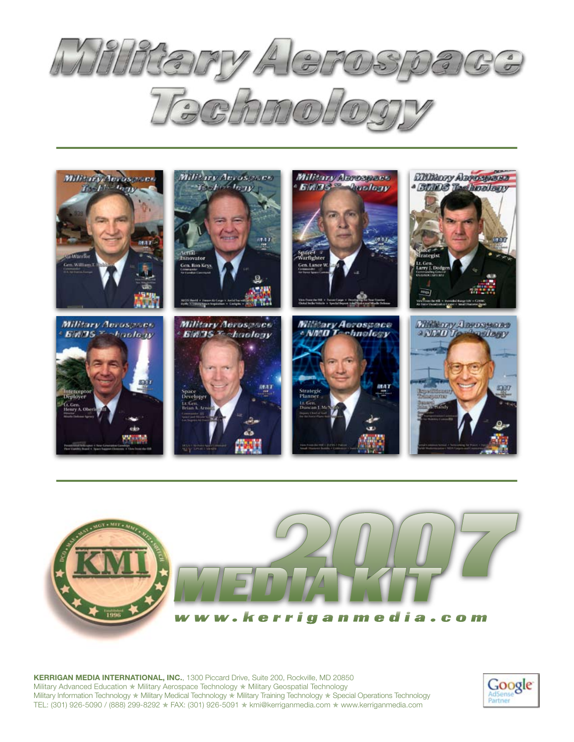





**KERRIGAN MEDIA INTERNATIONAL, INC.**, 1300 Piccard Drive, Suite 200, Rockville, MD 20850 Military Advanced Education  $*$  Military Aerospace Technology  $*$  Military Geospatial Technology Military Information Technology  $*$  Military Medical Technology  $*$  Military Training Technology  $*$  Special Operations Technology TEL: (301) 926-5090 / (888) 299-8292 \* FAX: (301) 926-5091 \* kmi@kerriganmedia.com \* www.kerriganmedia.com

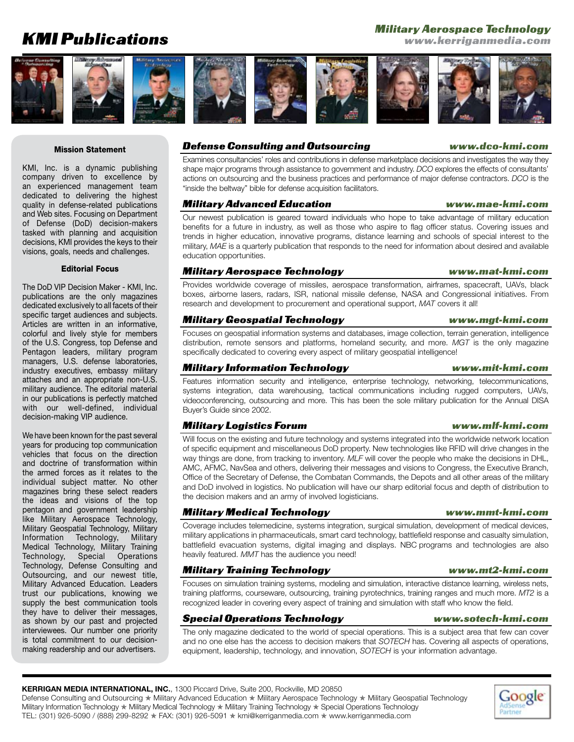### Military Aerospace Technology

www.kerriganmedia.com

# **KMI Publications**



#### Mission Statement

KMI, Inc. is a dynamic publishing company driven to excellence by an experienced management team dedicated to delivering the highest quality in defense-related publications and Web sites. Focusing on Department of Defense (DoD) decision-makers tasked with planning and acquisition decisions, KMI provides the keys to their visions, goals, needs and challenges.

#### Editorial Focus

The DoD VIP Decision Maker - KMI, Inc. publications are the only magazines dedicated exclusively to all facets of their specific target audiences and subjects. Articles are written in an informative, colorful and lively style for members of the U.S. Congress, top Defense and Pentagon leaders, military program managers, U.S. defense laboratories, industry executives, embassy military attaches and an appropriate non-U.S. military audience. The editorial material in our publications is perfectly matched with our well-defined, individual decision-making VIP audience.

We have been known for the past several years for producing top communication vehicles that focus on the direction and doctrine of transformation within the armed forces as it relates to the individual subject matter. No other magazines bring these select readers the ideas and visions of the top pentagon and government leadership like Military Aerospace Technology, Military Geospatial Technology, Military Information Technology, Military Medical Technology, Military Training Technology, Special Operations Technology, Defense Consulting and Outsourcing, and our newest title, Military Advanced Education. Leaders trust our publications, knowing we supply the best communication tools they have to deliver their messages, as shown by our past and projected interviewees. Our number one priority is total commitment to our decisionmaking readership and our advertisers.

### **Defense Consulting and Outsourcing Education Consulting Service Consulting And Outsourcing Consumer With Warehou**

Examines consultancies' roles and contributions in defense marketplace decisions and investigates the way they shape major programs through assistance to government and industry. *DCO* explores the effects of consultants' actions on outsourcing and the business practices and performance of major defense contractors. *DCO* is the "inside the beltway" bible for defense acquisition facilitators.

### -ILITARY!DVANCED%DUCATION WWWMAE
KMICOM

Our newest publication is geared toward individuals who hope to take advantage of military education benefits for a future in industry, as well as those who aspire to flag officer status. Covering issues and trends in higher education, innovative programs, distance learning and schools of special interest to the military, *MAE* is a quarterly publication that responds to the need for information about desired and available education opportunities.

### Military Aerospace Technology www.mat-kmi.com

Provides worldwide coverage of missiles, aerospace transformation, airframes, spacecraft, UAVs, black boxes, airborne lasers, radars, ISR, national missile defense, NASA and Congressional initiatives. From research and development to procurement and operational support, *MAT* covers it all!

### Military Geospatial Technology www.mgt-kmi.com

Focuses on geospatial information systems and databases, image collection, terrain generation, intelligence distribution, remote sensors and platforms, homeland security, and more. *MGT* is the only magazine specifically dedicated to covering every aspect of military geospatial intelligence!

### -ILITARY)NFORMATION4ECHNOLOGY WWWMIT
KMICOM

Features information security and intelligence, enterprise technology, networking, telecommunications, systems integration, data warehousing, tactical communications including rugged computers, UAVs, videoconferencing, outsourcing and more. This has been the sole military publication for the Annual DISA Buyer's Guide since 2002.

### Military Logistics Forum the Communication of the WWW.mlf-kmi.com

Will focus on the existing and future technology and systems integrated into the worldwide network location of specific equipment and miscellaneous DoD property. New technologies like RFID will drive changes in the way things are done, from tracking to inventory. *MLF* will cover the people who make the decisions in DHL, AMC, AFMC, NavSea and others, delivering their messages and visions to Congress, the Executive Branch, Office of the Secretary of Defense, the Combatan Commands, the Depots and all other areas of the military and DoD involved in logistics. No publication will have our sharp editorial focus and depth of distribution to the decision makers and an army of involved logisticians.

### Military Medical Technology www.mmt-kmi.com

Coverage includes telemedicine, systems integration, surgical simulation, development of medical devices, military applications in pharmaceuticals, smart card technology, battlefield response and casualty simulation, battlefield evacuation systems, digital imaging and displays. NBC programs and technologies are also heavily featured. *MMT* has the audience you need!

### Military Training Technology and the Controller WWW.mt2-kmi.com

Focuses on simulation training systems, modeling and simulation, interactive distance learning, wireless nets, training platforms, courseware, outsourcing, training pyrotechnics, training ranges and much more. *MT2* is a recognized leader in covering every aspect of training and simulation with staff who know the field.

### Special Operations Technology www.sotech-kmi.com

The only magazine dedicated to the world of special operations. This is a subject area that few can cover and no one else has the access to decision makers that *SOTECH* has. Covering all aspects of operations, equipment, leadership, technology, and innovation, *SOTECH* is your information advantage.

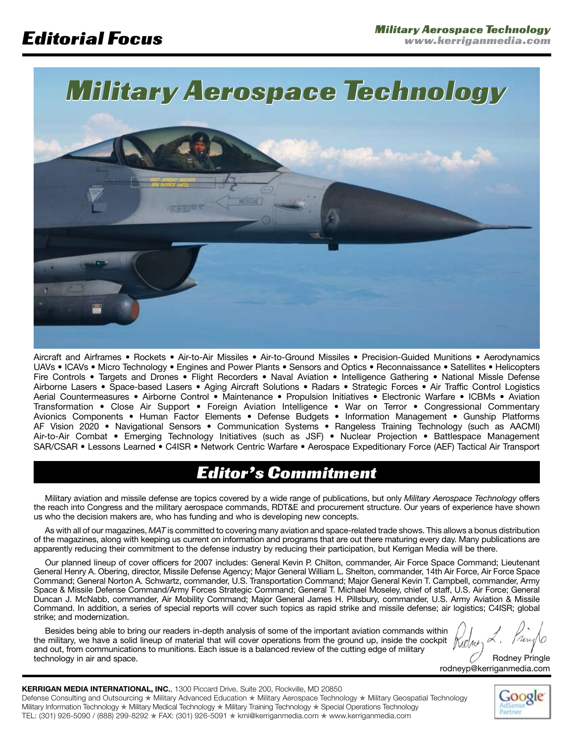



Aircraft and Airframes • Rockets • Air-to-Air Missiles • Air-to-Ground Missiles • Precision-Guided Munitions • Aerodynamics UAVs • ICAVs • Micro Technology • Engines and Power Plants • Sensors and Optics • Reconnaissance • Satellites • Helicopters Fire Controls • Targets and Drones • Flight Recorders • Naval Aviation • Intelligence Gathering • National Missle Defense Airborne Lasers • Space-based Lasers • Aging Aircraft Solutions • Radars • Strategic Forces • Air Traffic Control Logistics Aerial Countermeasures • Airborne Control • Maintenance • Propulsion Initiatives • Electronic Warfare • ICBMs • Aviation Transformation • Close Air Support • Foreign Aviation Intelligence • War on Terror • Congressional Commentary Avionics Components • Human Factor Elements • Defense Budgets • Information Management • Gunship Platforms AF Vision 2020 • Navigational Sensors • Communication Systems • Rangeless Training Technology (such as AACMI) Air-to-Air Combat • Emerging Technology Initiatives (such as JSF) • Nuclear Projection • Battlespace Management SAR/CSAR • Lessons Learned • C4ISR • Network Centric Warfare • Aerospace Expeditionary Force (AEF) Tactical Air Transport

# Editor's Commitment

Military aviation and missile defense are topics covered by a wide range of publications, but only *Military Aerospace Technology* offers the reach into Congress and the military aerospace commands, RDT&E and procurement structure. Our years of experience have shown us who the decision makers are, who has funding and who is developing new concepts.

As with all of our magazines, *MAT* is committed to covering many aviation and space-related trade shows. This allows a bonus distribution of the magazines, along with keeping us current on information and programs that are out there maturing every day. Many publications are apparently reducing their commitment to the defense industry by reducing their participation, but Kerrigan Media will be there.

Our planned lineup of cover officers for 2007 includes: General Kevin P. Chilton, commander, Air Force Space Command; Lieutenant General Henry A. Obering, director, Missile Defense Agency; Major General William L. Shelton, commander, 14th Air Force, Air Force Space Command; General Norton A. Schwartz, commander, U.S. Transportation Command; Major General Kevin T. Campbell, commander, Army Space & Missile Defense Command/Army Forces Strategic Command; General T. Michael Moseley, chief of staff, U.S. Air Force; General Duncan J. McNabb, commander, Air Mobility Command; Major General James H. Pillsbury, commander, U.S. Army Aviation & Missile Command. In addition, a series of special reports will cover such topics as rapid strike and missile defense; air logistics; C4ISR; global strike; and modernization.

Besides being able to bring our readers in-depth analysis of some of the important aviation commands within the military, we have a solid lineup of material that will cover operations from the ground up, inside the cockpit and out, from communications to munitions. Each issue is a balanced review of the cutting edge of military technology in air and space.

Kielner

Rodney Pringle rodneyp@kerriganmedia.com

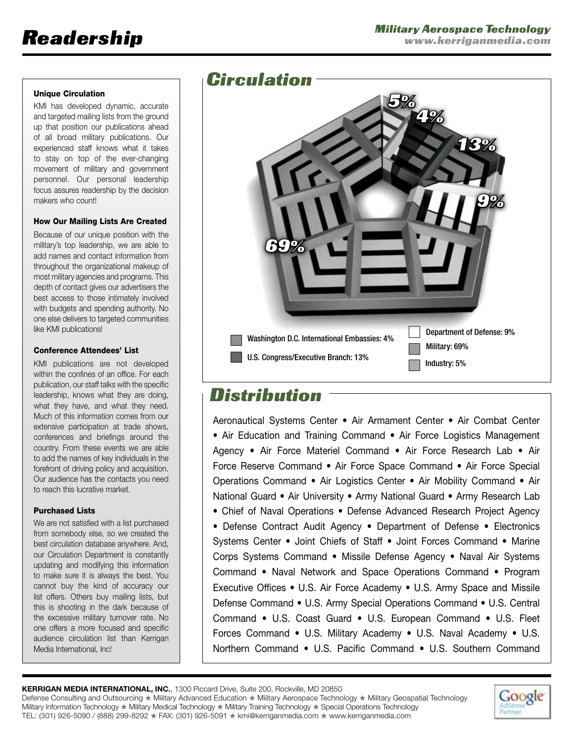www.kerriganmedia.com

### Unique Circulation

KMI has developed dynamic, accurate and targeted mailing lists from the ground up that position our publications ahead of all broad military publications. Our experienced staff knows what it takes to stay on top of the ever-changing movement of military and government personnel. Our personal leadership focus assures readership by the decision makers who count!

### How Our Mailing Lists Are Created

Because of our unique position with the military's top leadership, we are able to add names and contact information from throughout the organizational makeup of most military agencies and programs. This depth of contact gives our advertisers the best access to those intimately involved with budgets and spending authority. No one else delivers to targeted communities like KMI publications!

### Conference Attendees' List

KMI publications are not developed within the confines of an office. For each publication, our staff talks with the specific leadership, knows what they are doing, what they have, and what they need. Much of this information comes from our extensive participation at trade shows, conferences and briefings around the country. From these events we are able to add the names of key individuals in the forefront of driving policy and acquisition. Our audience has the contacts you need to reach this lucrative market.

### Purchased Lists

We are not satisfied with a list purchased from somebody else, so we created the best circulation database anywhere. And, our Circulation Department is constantly updating and modifying this information to make sure it is always the best. You cannot buy the kind of accuracy our list offers. Others buy mailing lists, but this is shooting in the dark because of the excessive military turnover rate. No one offers a more focused and specific audience circulation list than Kerrigan Media International, Inc!



# **Distribution**

Aeronautical Systems Center • Air Armament Center • Air Combat Center • Air Education and Training Command • Air Force Logistics Management Agency • Air Force Materiel Command • Air Force Research Lab • Air Force Reserve Command • Air Force Space Command • Air Force Special Operations Command • Air Logistics Center • Air Mobility Command • Air National Guard • Air University • Army National Guard • Army Research Lab • Chief of Naval Operations • Defense Advanced Research Project Agency • Defense Contract Audit Agency • Department of Defense • Electronics Systems Center • Joint Chiefs of Staff • Joint Forces Command • Marine Corps Systems Command • Missile Defense Agency • Naval Air Systems Command • Naval Network and Space Operations Command • Program Executive Offices • U.S. Air Force Academy • U.S. Army Space and Missile Defense Command • U.S. Army Special Operations Command • U.S. Central Command • U.S. Coast Guard • U.S. European Command • U.S. Fleet Forces Command • U.S. Military Academy • U.S. Naval Academy • U.S. Northern Command • U.S. Pacific Command • U.S. Southern Command

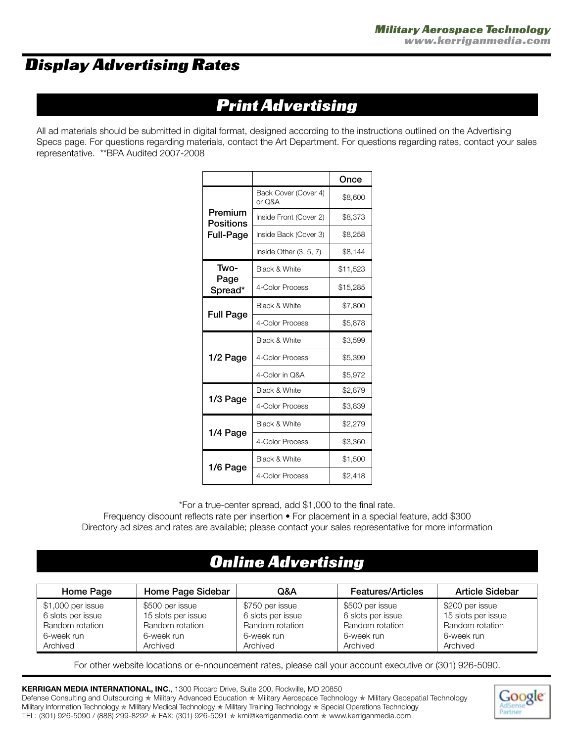# **Display Advertising Rates**

# **Print Advertising**

All ad materials should be submitted in digital format, designed according to the instructions outlined on the Advertising Specs page. For questions regarding materials, contact the Art Department. For questions regarding rates, contact your sales representative. \*\*BPA Audited 2007-2008

|                                          |                                | Once     |
|------------------------------------------|--------------------------------|----------|
|                                          | Back Cover (Cover 4)<br>or Q&A | \$8,600  |
| Premium<br><b>Positions</b><br>Full-Page | Inside Front (Cover 2)         | \$8,373  |
|                                          | Inside Back (Cover 3)          | \$8,258  |
|                                          | Inside Other $(3, 5, 7)$       | \$8,144  |
| Two-                                     | <b>Black &amp; White</b>       | \$11,523 |
| Page<br>Spread*                          | 4-Color Process                | \$15,285 |
|                                          | <b>Black &amp; White</b>       | \$7,800  |
| <b>Full Page</b>                         | 4-Color Process                | \$5,878  |
| 1/2 Page                                 | Black & White                  | \$3,599  |
|                                          | 4-Color Process                | \$5,399  |
|                                          | 4-Color in Q&A                 | \$5,972  |
|                                          | Black & White                  | \$2,879  |
| 1/3 Page                                 | 4-Color Process                | \$3,839  |
| 1/4 Page                                 | <b>Black &amp; White</b>       | \$2,279  |
|                                          | 4-Color Process                | \$3,360  |
| 1/6 Page                                 | <b>Black &amp; White</b>       | \$1,500  |
|                                          | 4-Color Process                | \$2,418  |

\*For a true-center spread, add \$1,000 to the final rate.

Frequency discount reflects rate per insertion • For placement in a special feature, add \$300 Directory ad sizes and rates are available; please contact your sales representative for more information

# **Online Advertising**

| Home Page         | Home Page Sidebar  | Q&A               | <b>Features/Articles</b> | <b>Article Sidebar</b> |
|-------------------|--------------------|-------------------|--------------------------|------------------------|
| \$1,000 per issue | \$500 per issue    | \$750 per issue   | \$500 per issue          | \$200 per issue        |
| 6 slots per issue | 15 slots per issue | 6 slots per issue | 6 slots per issue        | 15 slots per issue     |
| Random rotation   | Random rotation    | Random rotation   | Random rotation          | Random rotation        |
| 6-week run        | 6-week run         | 6-week run        | 6-week run               | 6-week run             |
| Archived          | Archived           | Archived          | Archived                 | Archived               |

For other website locations or e-nnouncement rates, please call your account executive or (301) 926-5090.

**KERRIGAN MEDIA INTERNATIONAL, INC.**, 1300 Piccard Drive, Suite 200, Rockville, MD 20850 Defense Consulting and Outsourcing \* Military Advanced Education \* Military Aerospace Technology \* Military Geospatial Technology Military Information Technology  $*$  Military Medical Technology  $*$  Military Training Technology  $*$  Special Operations Technology TEL: (301) 926-5090 / (888) 299-8292 \* FAX: (301) 926-5091 \* kmi@kerriganmedia.com \* www.kerriganmedia.com

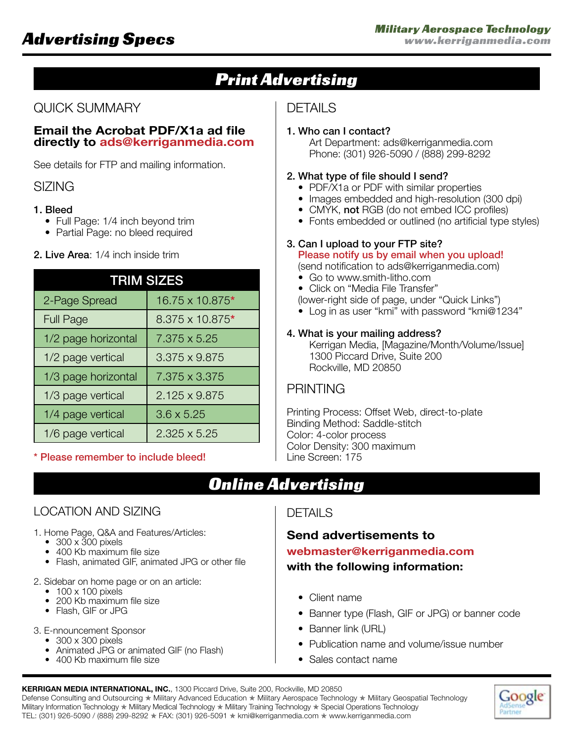# **Print Advertising**

# QUICK SUMMARY

### **Email the Acrobat PDF/X1a ad file directly to ads@kerriganmedia.com**

See details for FTP and mailing information.

# SIZING

## 1. Bleed

- Full Page: 1/4 inch beyond trim
- Partial Page: no bleed required

## 2. Live Area: 1/4 inch inside trim

| <b>TRIM SIZES</b>   |                     |  |  |  |
|---------------------|---------------------|--|--|--|
| 2-Page Spread       | 16.75 x 10.875*     |  |  |  |
| <b>Full Page</b>    | 8.375 x 10.875*     |  |  |  |
| 1/2 page horizontal | 7.375 x 5.25        |  |  |  |
| 1/2 page vertical   | 3.375 x 9.875       |  |  |  |
| 1/3 page horizontal | 7.375 x 3.375       |  |  |  |
| 1/3 page vertical   | 2.125 x 9.875       |  |  |  |
| 1/4 page vertical   | $3.6 \times 5.25$   |  |  |  |
| 1/6 page vertical   | $2.325 \times 5.25$ |  |  |  |

# \* Please remember to include bleed!

# DETAILS

## 1. Who can I contact?

Art Department: ads@kerriganmedia.com Phone: (301) 926-5090 / (888) 299-8292

## 2. What type of file should I send?

- PDF/X1a or PDF with similar properties
- Images embedded and high-resolution (300 dpi)
- CMYK, not RGB (do not embed ICC profiles)
- Fonts embedded or outlined (no artificial type styles) •

## 3. Can I upload to your FTP site?

Please notify us by email when you upload!

(send notification to ads@kerriganmedia.com)

- Go to www.smith-litho.com •
- Click on "Media File Transfer"

(lower-right side of page, under "Quick Links")

• Log in as user "kmi" with password "kmi@1234"

### 4. What is your mailing address?

Kerrigan Media, [Magazine/Month/Volume/Issue] 1300 Piccard Drive, Suite 200 Rockville, MD 20850

# **PRINTING**

Printing Process: Offset Web, direct-to-plate Binding Method: Saddle-stitch Color: 4-color process Color Density: 300 maximum Line Screen: 175

# **Online Advertising**

# LOCATION AND SIZING **DETAILS**

- 1. Home Page, Q&A and Features/Articles:
	- 300 x 300 pixels
	- 400 Kb maximum file size
	- Flash, animated GIF, animated JPG or other file •
- 2. Sidebar on home page or on an article:
	- $\bullet$  100 x 100 pixels
	- 200 Kb maximum file size
	- Flash, GIF or JPG •
- 3. E-nnouncement Sponsor
	- 300 x 300 pixels
	- Animated JPG or animated GIF (no Flash)
	- 400 Kb maximum file size

# **Send advertisements to webmaster@kerriganmedia.com with the following information:**

- Client name
- Banner type (Flash, GIF or JPG) or banner code
- Banner link (URL)
- Publication name and volume/issue number
- Sales contact name